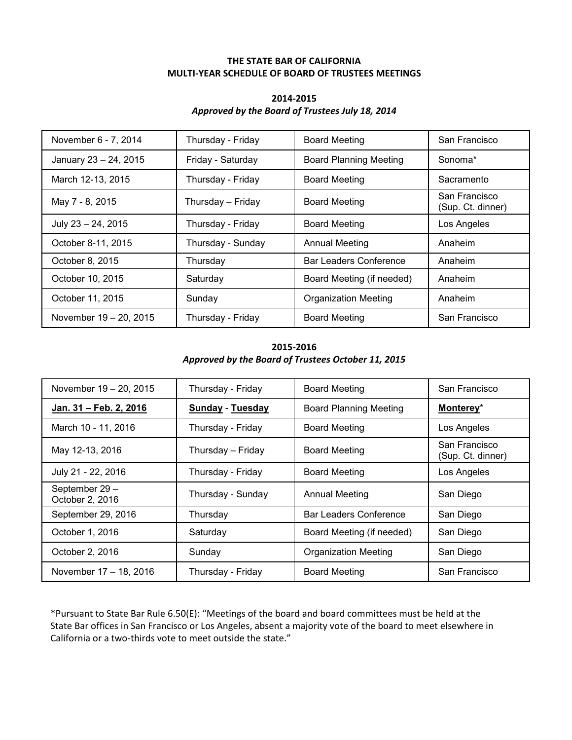## **THE STATE BAR OF CALIFORNIA MULTI-YEAR SCHEDULE OF BOARD OF TRUSTEES MEETINGS**

## **2014-2015** *Approved by the Board of Trustees July 18, 2014*

| November 6 - 7, 2014   | Thursday - Friday | <b>Board Meeting</b>          | San Francisco                      |
|------------------------|-------------------|-------------------------------|------------------------------------|
| January 23 - 24, 2015  | Friday - Saturday | <b>Board Planning Meeting</b> | Sonoma*                            |
| March 12-13, 2015      | Thursday - Friday | <b>Board Meeting</b>          | Sacramento                         |
| May 7 - 8, 2015        | Thursday - Friday | <b>Board Meeting</b>          | San Francisco<br>(Sup. Ct. dinner) |
| July 23 - 24, 2015     | Thursday - Friday | <b>Board Meeting</b>          | Los Angeles                        |
| October 8-11, 2015     | Thursday - Sunday | <b>Annual Meeting</b>         | Anaheim                            |
| October 8, 2015        | Thursday          | <b>Bar Leaders Conference</b> | Anaheim                            |
| October 10, 2015       | Saturday          | Board Meeting (if needed)     | Anaheim                            |
| October 11, 2015       | Sunday            | <b>Organization Meeting</b>   | Anaheim                            |
| November 19 - 20, 2015 | Thursday - Friday | <b>Board Meeting</b>          | San Francisco                      |

## **2015-2016** *Approved by the Board of Trustees October 11, 2015*

| November 19 - 20, 2015            | Thursday - Friday       | <b>Board Meeting</b>          | San Francisco                      |
|-----------------------------------|-------------------------|-------------------------------|------------------------------------|
| Jan. 31 - Feb. 2, 2016            | <b>Sunday - Tuesday</b> | <b>Board Planning Meeting</b> | Monterey*                          |
| March 10 - 11, 2016               | Thursday - Friday       | <b>Board Meeting</b>          | Los Angeles                        |
| May 12-13, 2016                   | Thursday - Friday       | <b>Board Meeting</b>          | San Francisco<br>(Sup. Ct. dinner) |
| July 21 - 22, 2016                | Thursday - Friday       | <b>Board Meeting</b>          | Los Angeles                        |
| September 29 -<br>October 2, 2016 | Thursday - Sunday       | <b>Annual Meeting</b>         | San Diego                          |
| September 29, 2016                | Thursday                | Bar Leaders Conference        | San Diego                          |
| October 1, 2016                   | Saturday                | Board Meeting (if needed)     | San Diego                          |
| October 2, 2016                   | Sunday                  | <b>Organization Meeting</b>   | San Diego                          |
| November 17 – 18, 2016            | Thursday - Friday       | <b>Board Meeting</b>          | San Francisco                      |

\*Pursuant to State Bar Rule 6.50(E): "Meetings of the board and board committees must be held at the State Bar offices in San Francisco or Los Angeles, absent a majority vote of the board to meet elsewhere in California or a two-thirds vote to meet outside the state."